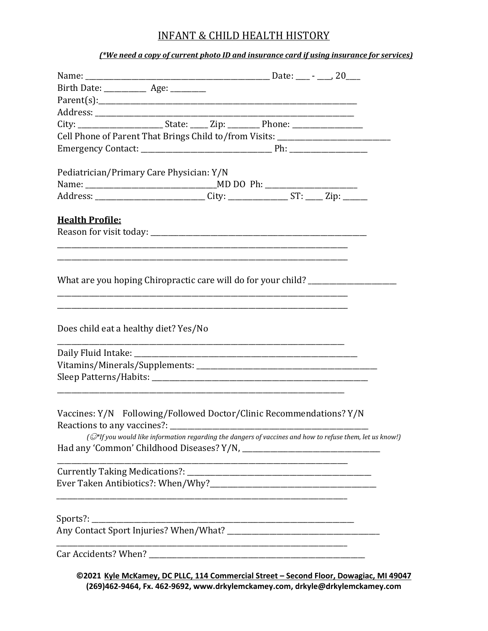## INFANT & CHILD HEALTH HISTORY

*(\*We need a copy of current photo ID and insurance card if using insurance for services)*

| Birth Date: _____________ Age: ________                                            |                                                                                                          |  |  |
|------------------------------------------------------------------------------------|----------------------------------------------------------------------------------------------------------|--|--|
|                                                                                    |                                                                                                          |  |  |
|                                                                                    |                                                                                                          |  |  |
| City: ________________________State: _____ Zip: __________ Phone: _______________  |                                                                                                          |  |  |
| Cell Phone of Parent That Brings Child to/from Visits: _________________________   |                                                                                                          |  |  |
|                                                                                    |                                                                                                          |  |  |
| Pediatrician/Primary Care Physician: Y/N                                           |                                                                                                          |  |  |
|                                                                                    |                                                                                                          |  |  |
| Address: ____________________________City: __________________ST: ______Zip: ______ |                                                                                                          |  |  |
| <b>Health Profile:</b>                                                             |                                                                                                          |  |  |
|                                                                                    |                                                                                                          |  |  |
|                                                                                    |                                                                                                          |  |  |
|                                                                                    |                                                                                                          |  |  |
| What are you hoping Chiropractic care will do for your child? __________________   |                                                                                                          |  |  |
|                                                                                    |                                                                                                          |  |  |
|                                                                                    |                                                                                                          |  |  |
|                                                                                    |                                                                                                          |  |  |
| Does child eat a healthy diet? Yes/No                                              |                                                                                                          |  |  |
|                                                                                    |                                                                                                          |  |  |
|                                                                                    |                                                                                                          |  |  |
|                                                                                    |                                                                                                          |  |  |
|                                                                                    |                                                                                                          |  |  |
| Vaccines: Y/N Following/Followed Doctor/Clinic Recommendations? Y/N                |                                                                                                          |  |  |
| Reactions to any vaccines?:                                                        |                                                                                                          |  |  |
|                                                                                    | (O*If you would like information regarding the dangers of vaccines and how to refuse them, let us know!) |  |  |
|                                                                                    |                                                                                                          |  |  |
|                                                                                    |                                                                                                          |  |  |
|                                                                                    |                                                                                                          |  |  |
|                                                                                    |                                                                                                          |  |  |
|                                                                                    |                                                                                                          |  |  |
|                                                                                    |                                                                                                          |  |  |
|                                                                                    |                                                                                                          |  |  |
|                                                                                    |                                                                                                          |  |  |
|                                                                                    |                                                                                                          |  |  |
|                                                                                    | ©2021 Kyle McKamey, DC PLLC, 114 Commercial Street - Second Floor, Dowagiac, MI 49047                    |  |  |

**(269)462-9464, Fx. 462-9692[, www.drkylemckamey.com,](http://www.drkylemckamey.com/) drkyle@drkylemckamey.com**